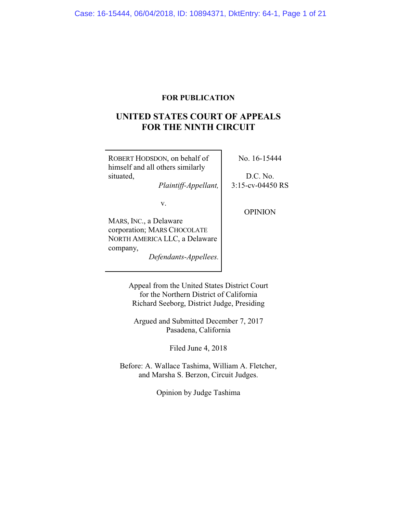# **FOR PUBLICATION**

# **UNITED STATES COURT OF APPEALS FOR THE NINTH CIRCUIT**

| ROBERT HODSDON, on behalf of<br>himself and all others similarly | No. 16-15444                      |
|------------------------------------------------------------------|-----------------------------------|
| situated,<br>Plaintiff-Appellant,                                | $D.C.$ No.<br>$3:15$ -cv-04450 RS |
| V.                                                               | OPINION                           |
| MARS, INC., a Delaware                                           |                                   |
| corporation; MARS CHOCOLATE                                      |                                   |
| NORTH AMERICA LLC, a Delaware                                    |                                   |
| company,<br>Defendants-Appellees.                                |                                   |
|                                                                  |                                   |

Appeal from the United States District Court for the Northern District of California Richard Seeborg, District Judge, Presiding

Argued and Submitted December 7, 2017 Pasadena, California

Filed June 4, 2018

Before: A. Wallace Tashima, William A. Fletcher, and Marsha S. Berzon, Circuit Judges.

Opinion by Judge Tashima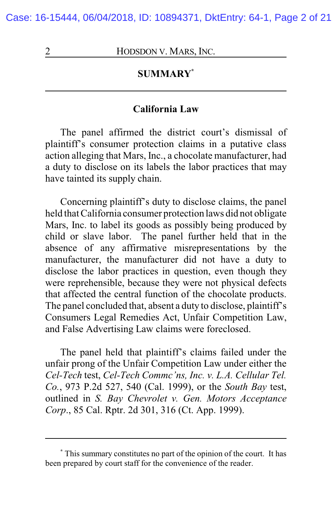Case: 16-15444, 06/04/2018, ID: 10894371, DktEntry: 64-1, Page 2 of 21

2 **HODSDON V. MARS, INC.** 

# **SUMMARY\***

#### **California Law**

The panel affirmed the district court's dismissal of plaintiff's consumer protection claims in a putative class action alleging that Mars, Inc., a chocolate manufacturer, had a duty to disclose on its labels the labor practices that may have tainted its supply chain.

Concerning plaintiff's duty to disclose claims, the panel held that California consumer protection laws did not obligate Mars, Inc. to label its goods as possibly being produced by child or slave labor. The panel further held that in the absence of any affirmative misrepresentations by the manufacturer, the manufacturer did not have a duty to disclose the labor practices in question, even though they were reprehensible, because they were not physical defects that affected the central function of the chocolate products. The panel concluded that, absent a duty to disclose, plaintiff's Consumers Legal Remedies Act, Unfair Competition Law, and False Advertising Law claims were foreclosed.

The panel held that plaintiff's claims failed under the unfair prong of the Unfair Competition Law under either the *Cel-Tech* test, *Cel-Tech Commc'ns, Inc. v. L.A. Cellular Tel. Co.*, 973 P.2d 527, 540 (Cal. 1999), or the *South Bay* test, outlined in *S. Bay Chevrolet v. Gen. Motors Acceptance Corp*., 85 Cal. Rptr. 2d 301, 316 (Ct. App. 1999).

**<sup>\*</sup>** This summary constitutes no part of the opinion of the court. It has been prepared by court staff for the convenience of the reader.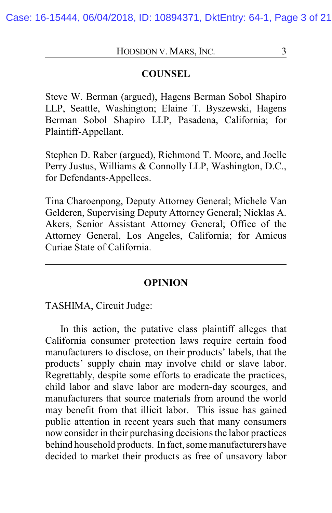#### **COUNSEL**

Steve W. Berman (argued), Hagens Berman Sobol Shapiro LLP, Seattle, Washington; Elaine T. Byszewski, Hagens Berman Sobol Shapiro LLP, Pasadena, California; for Plaintiff-Appellant.

Stephen D. Raber (argued), Richmond T. Moore, and Joelle Perry Justus, Williams & Connolly LLP, Washington, D.C., for Defendants-Appellees.

Tina Charoenpong, Deputy Attorney General; Michele Van Gelderen, Supervising Deputy Attorney General; Nicklas A. Akers, Senior Assistant Attorney General; Office of the Attorney General, Los Angeles, California; for Amicus Curiae State of California.

#### **OPINION**

TASHIMA, Circuit Judge:

In this action, the putative class plaintiff alleges that California consumer protection laws require certain food manufacturers to disclose, on their products' labels, that the products' supply chain may involve child or slave labor. Regrettably, despite some efforts to eradicate the practices, child labor and slave labor are modern-day scourges, and manufacturers that source materials from around the world may benefit from that illicit labor. This issue has gained public attention in recent years such that many consumers now consider in their purchasing decisions the labor practices behind household products. In fact, some manufacturers have decided to market their products as free of unsavory labor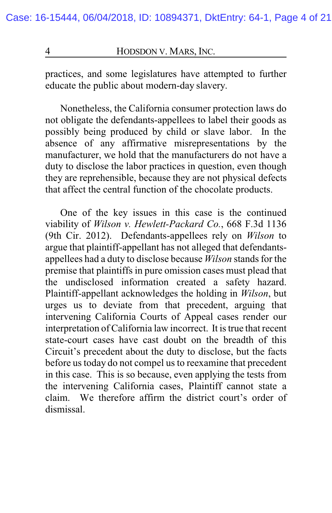practices, and some legislatures have attempted to further educate the public about modern-day slavery.

Nonetheless, the California consumer protection laws do not obligate the defendants-appellees to label their goods as possibly being produced by child or slave labor. In the absence of any affirmative misrepresentations by the manufacturer, we hold that the manufacturers do not have a duty to disclose the labor practices in question, even though they are reprehensible, because they are not physical defects that affect the central function of the chocolate products.

One of the key issues in this case is the continued viability of *Wilson v. Hewlett-Packard Co.*, 668 F.3d 1136 (9th Cir. 2012). Defendants-appellees rely on *Wilson* to argue that plaintiff-appellant has not alleged that defendantsappellees had a duty to disclose because *Wilson* stands for the premise that plaintiffs in pure omission cases must plead that the undisclosed information created a safety hazard. Plaintiff-appellant acknowledges the holding in *Wilson*, but urges us to deviate from that precedent, arguing that intervening California Courts of Appeal cases render our interpretation of California law incorrect. It is true that recent state-court cases have cast doubt on the breadth of this Circuit's precedent about the duty to disclose, but the facts before us today do not compel us to reexamine that precedent in this case. This is so because, even applying the tests from the intervening California cases, Plaintiff cannot state a claim. We therefore affirm the district court's order of dismissal.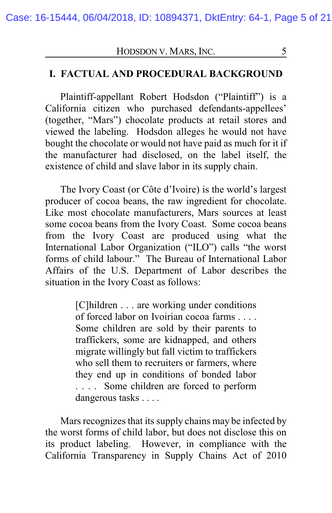### **I. FACTUAL AND PROCEDURAL BACKGROUND**

Plaintiff-appellant Robert Hodsdon ("Plaintiff") is a California citizen who purchased defendants-appellees' (together, "Mars") chocolate products at retail stores and viewed the labeling. Hodsdon alleges he would not have bought the chocolate or would not have paid as much for it if the manufacturer had disclosed, on the label itself, the existence of child and slave labor in its supply chain.

The Ivory Coast (or Côte d'Ivoire) is the world's largest producer of cocoa beans, the raw ingredient for chocolate. Like most chocolate manufacturers, Mars sources at least some cocoa beans from the Ivory Coast. Some cocoa beans from the Ivory Coast are produced using what the International Labor Organization ("ILO") calls "the worst forms of child labour." The Bureau of International Labor Affairs of the U.S. Department of Labor describes the situation in the Ivory Coast as follows:

> [C]hildren . . . are working under conditions of forced labor on Ivoirian cocoa farms . . . . Some children are sold by their parents to traffickers, some are kidnapped, and others migrate willingly but fall victim to traffickers who sell them to recruiters or farmers, where they end up in conditions of bonded labor . . . . Some children are forced to perform dangerous tasks . . . .

Mars recognizes that its supply chains may be infected by the worst forms of child labor, but does not disclose this on its product labeling. However, in compliance with the California Transparency in Supply Chains Act of 2010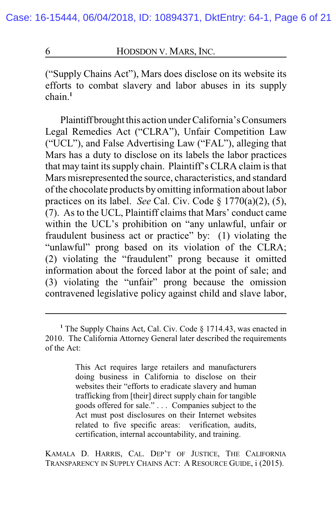("Supply Chains Act"), Mars does disclose on its website its efforts to combat slavery and labor abuses in its supply chain.**<sup>1</sup>**

Plaintiff brought this action under California's Consumers Legal Remedies Act ("CLRA"), Unfair Competition Law ("UCL"), and False Advertising Law ("FAL"), alleging that Mars has a duty to disclose on its labels the labor practices that may taint its supply chain. Plaintiff's CLRA claim is that Mars misrepresented the source, characteristics, and standard of the chocolate products by omitting information about labor practices on its label. *See* Cal. Civ. Code § 1770(a)(2), (5), (7). As to the UCL, Plaintiff claims that Mars' conduct came within the UCL's prohibition on "any unlawful, unfair or fraudulent business act or practice" by: (1) violating the "unlawful" prong based on its violation of the CLRA; (2) violating the "fraudulent" prong because it omitted information about the forced labor at the point of sale; and (3) violating the "unfair" prong because the omission contravened legislative policy against child and slave labor,

This Act requires large retailers and manufacturers doing business in California to disclose on their websites their "efforts to eradicate slavery and human trafficking from [their] direct supply chain for tangible goods offered for sale." . . . Companies subject to the Act must post disclosures on their Internet websites related to five specific areas: verification, audits, certification, internal accountability, and training.

KAMALA D. HARRIS, CAL. DEP'T OF JUSTICE, THE CALIFORNIA TRANSPARENCY IN SUPPLY CHAINS ACT: A RESOURCE GUIDE, i (2015).

<sup>&</sup>lt;sup>1</sup> The Supply Chains Act, Cal. Civ. Code § 1714.43, was enacted in 2010. The California Attorney General later described the requirements of the Act: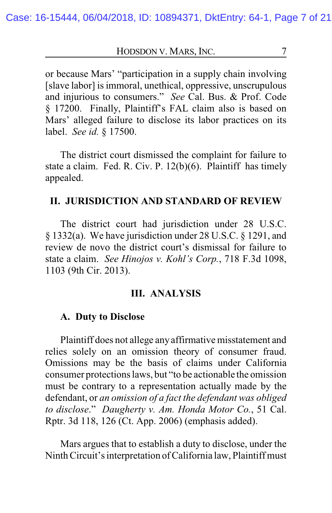or because Mars' "participation in a supply chain involving [slave labor] is immoral, unethical, oppressive, unscrupulous and injurious to consumers." *See* Cal. Bus. & Prof. Code § 17200. Finally, Plaintiff's FAL claim also is based on Mars' alleged failure to disclose its labor practices on its label. *See id.* § 17500.

The district court dismissed the complaint for failure to state a claim. Fed. R. Civ. P. 12(b)(6). Plaintiff has timely appealed.

#### **II. JURISDICTION AND STANDARD OF REVIEW**

The district court had jurisdiction under 28 U.S.C. § 1332(a). We have jurisdiction under 28 U.S.C. § 1291, and review de novo the district court's dismissal for failure to state a claim. *See Hinojos v. Kohl's Corp.*, 718 F.3d 1098, 1103 (9th Cir. 2013).

#### **III. ANALYSIS**

#### **A. Duty to Disclose**

Plaintiff does not allege any affirmative misstatement and relies solely on an omission theory of consumer fraud. Omissions may be the basis of claims under California consumer protections laws, but "to be actionable the omission must be contrary to a representation actually made by the defendant, or *an omission of a fact the defendant was obliged to disclose*." *Daugherty v. Am. Honda Motor Co.*, 51 Cal. Rptr. 3d 118, 126 (Ct. App. 2006) (emphasis added).

Mars argues that to establish a duty to disclose, under the Ninth Circuit's interpretation of California law, Plaintiff must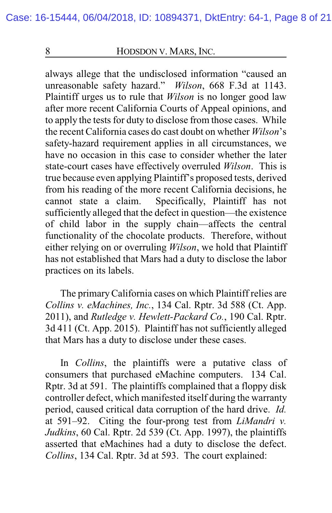always allege that the undisclosed information "caused an unreasonable safety hazard." *Wilson*, 668 F.3d at 1143. Plaintiff urges us to rule that *Wilson* is no longer good law after more recent California Courts of Appeal opinions, and to apply the tests for duty to disclose from those cases. While the recent California cases do cast doubt on whether *Wilson*'s safety-hazard requirement applies in all circumstances, we have no occasion in this case to consider whether the later state-court cases have effectively overruled *Wilson*. This is true because even applying Plaintiff's proposed tests, derived from his reading of the more recent California decisions, he cannot state a claim. Specifically, Plaintiff has not sufficiently alleged that the defect in question—the existence of child labor in the supply chain—affects the central functionality of the chocolate products. Therefore, without either relying on or overruling *Wilson*, we hold that Plaintiff has not established that Mars had a duty to disclose the labor practices on its labels.

The primaryCalifornia cases on which Plaintiff relies are *Collins v. eMachines, Inc.*, 134 Cal. Rptr. 3d 588 (Ct. App. 2011), and *Rutledge v. Hewlett-Packard Co.*, 190 Cal. Rptr. 3d 411 (Ct. App. 2015). Plaintiff has not sufficiently alleged that Mars has a duty to disclose under these cases.

In *Collins*, the plaintiffs were a putative class of consumers that purchased eMachine computers. 134 Cal. Rptr. 3d at 591. The plaintiffs complained that a floppy disk controller defect, which manifested itself during the warranty period, caused critical data corruption of the hard drive. *Id.* at 591–92. Citing the four-prong test from *LiMandri v. Judkins*, 60 Cal. Rptr. 2d 539 (Ct. App. 1997), the plaintiffs asserted that eMachines had a duty to disclose the defect. *Collins*, 134 Cal. Rptr. 3d at 593. The court explained: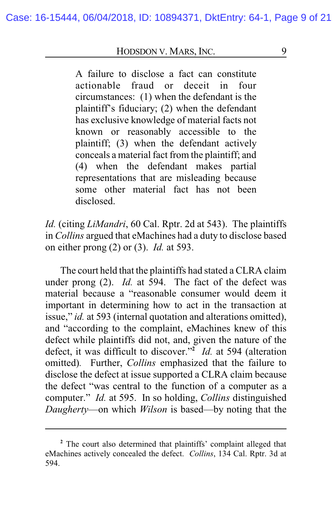A failure to disclose a fact can constitute actionable fraud or deceit in four circumstances: (1) when the defendant is the plaintiff's fiduciary; (2) when the defendant has exclusive knowledge of material facts not known or reasonably accessible to the plaintiff; (3) when the defendant actively conceals a material fact from the plaintiff; and (4) when the defendant makes partial representations that are misleading because some other material fact has not been disclosed.

*Id.* (citing *LiMandri*, 60 Cal. Rptr. 2d at 543). The plaintiffs in *Collins* argued that eMachines had a duty to disclose based on either prong (2) or (3). *Id.* at 593.

The court held that the plaintiffs had stated a CLRA claim under prong (2). *Id.* at 594. The fact of the defect was material because a "reasonable consumer would deem it important in determining how to act in the transaction at issue," *id.* at 593 (internal quotation and alterations omitted), and "according to the complaint, eMachines knew of this defect while plaintiffs did not, and, given the nature of the defect, it was difficult to discover."**<sup>2</sup>** *Id.* at 594 (alteration omitted)*.* Further, *Collins* emphasized that the failure to disclose the defect at issue supported a CLRA claim because the defect "was central to the function of a computer as a computer." *Id.* at 595. In so holding, *Collins* distinguished *Daugherty*—on which *Wilson* is based—by noting that the

**<sup>2</sup>** The court also determined that plaintiffs' complaint alleged that eMachines actively concealed the defect. *Collins*, 134 Cal. Rptr. 3d at 594.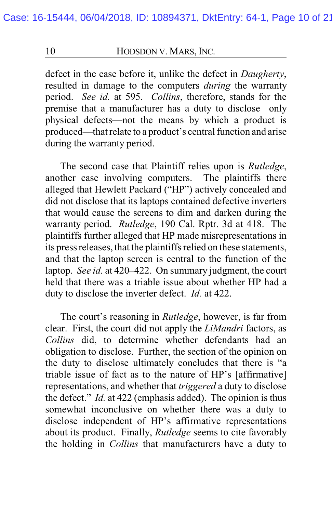defect in the case before it, unlike the defect in *Daugherty*, resulted in damage to the computers *during* the warranty period. *See id.* at 595. *Collins*, therefore, stands for the premise that a manufacturer has a duty to disclose only physical defects—not the means by which a product is produced—that relate to a product's central function and arise during the warranty period.

The second case that Plaintiff relies upon is *Rutledge*, another case involving computers. The plaintiffs there alleged that Hewlett Packard ("HP") actively concealed and did not disclose that its laptops contained defective inverters that would cause the screens to dim and darken during the warranty period. *Rutledge*, 190 Cal. Rptr. 3d at 418. The plaintiffs further alleged that HP made misrepresentations in its press releases, that the plaintiffs relied on these statements, and that the laptop screen is central to the function of the laptop. *See id.* at 420–422. On summary judgment, the court held that there was a triable issue about whether HP had a duty to disclose the inverter defect. *Id.* at 422.

The court's reasoning in *Rutledge*, however, is far from clear. First, the court did not apply the *LiMandri* factors, as *Collins* did, to determine whether defendants had an obligation to disclose. Further, the section of the opinion on the duty to disclose ultimately concludes that there is "a triable issue of fact as to the nature of HP's [affirmative] representations, and whether that *triggered* a duty to disclose the defect." *Id.* at 422 (emphasis added). The opinion is thus somewhat inconclusive on whether there was a duty to disclose independent of HP's affirmative representations about its product. Finally, *Rutledge* seems to cite favorably the holding in *Collins* that manufacturers have a duty to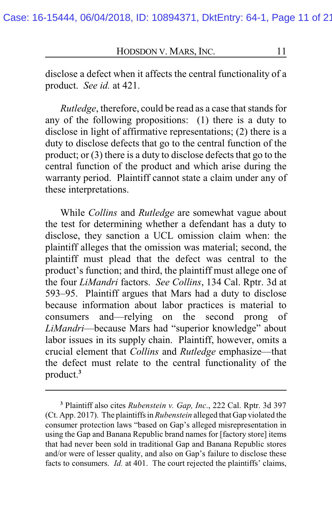disclose a defect when it affects the central functionality of a product. *See id.* at 421.

*Rutledge*, therefore, could be read as a case that stands for any of the following propositions: (1) there is a duty to disclose in light of affirmative representations; (2) there is a duty to disclose defects that go to the central function of the product; or (3) there is a duty to disclose defects that go to the central function of the product and which arise during the warranty period. Plaintiff cannot state a claim under any of these interpretations.

While *Collins* and *Rutledge* are somewhat vague about the test for determining whether a defendant has a duty to disclose, they sanction a UCL omission claim when: the plaintiff alleges that the omission was material; second, the plaintiff must plead that the defect was central to the product's function; and third, the plaintiff must allege one of the four *LiMandri* factors. *See Collins*, 134 Cal. Rptr. 3d at 593–95. Plaintiff argues that Mars had a duty to disclose because information about labor practices is material to consumers and—relying on the second prong of *LiMandri*—because Mars had "superior knowledge" about labor issues in its supply chain. Plaintiff, however, omits a crucial element that *Collins* and *Rutledge* emphasize—that the defect must relate to the central functionality of the product.**<sup>3</sup>**

**<sup>3</sup>** Plaintiff also cites *Rubenstein v. Gap, Inc*., 222 Cal. Rptr. 3d 397 (Ct. App. 2017). The plaintiffsin*Rubenstein* alleged that Gap violated the consumer protection laws "based on Gap's alleged misrepresentation in using the Gap and Banana Republic brand names for [factory store] items that had never been sold in traditional Gap and Banana Republic stores and/or were of lesser quality, and also on Gap's failure to disclose these facts to consumers. *Id.* at 401. The court rejected the plaintiffs' claims,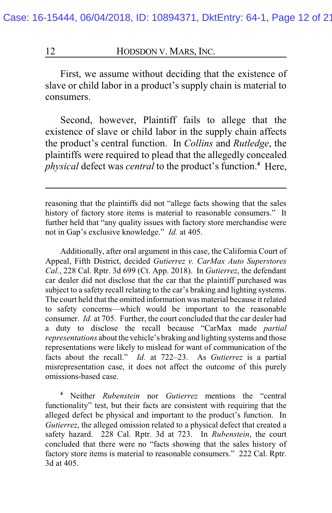First, we assume without deciding that the existence of slave or child labor in a product's supply chain is material to consumers.

Second, however, Plaintiff fails to allege that the existence of slave or child labor in the supply chain affects the product's central function. In *Collins* and *Rutledge*, the plaintiffs were required to plead that the allegedly concealed *physical* defect was *central* to the product's function.**<sup>4</sup>** Here,

Additionally, after oral argument in this case, the California Court of Appeal, Fifth District, decided *Gutierrez v. CarMax Auto Superstores Cal.*, 228 Cal. Rptr. 3d 699 (Ct. App. 2018). In *Gutierrez*, the defendant car dealer did not disclose that the car that the plaintiff purchased was subject to a safety recall relating to the car's braking and lighting systems. The court held that the omitted information was material because it related to safety concerns—which would be important to the reasonable consumer. *Id.* at 705. Further, the court concluded that the car dealer had a duty to disclose the recall because "CarMax made *partial representations* about the vehicle's braking and lighting systems and those representations were likely to mislead for want of communication of the facts about the recall." *Id.* at 722–23. As *Gutierrez* is a partial misrepresentation case, it does not affect the outcome of this purely omissions-based case.

**<sup>4</sup>** Neither *Rubenstein* nor *Gutierrez* mentions the "central functionality" test, but their facts are consistent with requiring that the alleged defect be physical and important to the product's function. In *Gutierrez*, the alleged omission related to a physical defect that created a safety hazard. 228 Cal. Rptr. 3d at 723. In *Rubenstein*, the court concluded that there were no "facts showing that the sales history of factory store items is material to reasonable consumers." 222 Cal. Rptr. 3d at 405.

reasoning that the plaintiffs did not "allege facts showing that the sales history of factory store items is material to reasonable consumers." It further held that "any quality issues with factory store merchandise were not in Gap's exclusive knowledge." *Id.* at 405.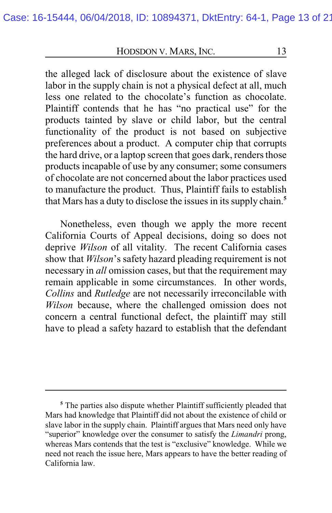the alleged lack of disclosure about the existence of slave labor in the supply chain is not a physical defect at all, much less one related to the chocolate's function as chocolate. Plaintiff contends that he has "no practical use" for the products tainted by slave or child labor, but the central functionality of the product is not based on subjective preferences about a product. A computer chip that corrupts the hard drive, or a laptop screen that goes dark, renders those products incapable of use by any consumer; some consumers of chocolate are not concerned about the labor practices used to manufacture the product. Thus, Plaintiff fails to establish that Mars has a duty to disclose the issues in its supply chain.**<sup>5</sup>**

Nonetheless, even though we apply the more recent California Courts of Appeal decisions, doing so does not deprive *Wilson* of all vitality. The recent California cases show that *Wilson*'s safety hazard pleading requirement is not necessary in *all* omission cases, but that the requirement may remain applicable in some circumstances. In other words, *Collins* and *Rutledge* are not necessarily irreconcilable with *Wilson* because, where the challenged omission does not concern a central functional defect, the plaintiff may still have to plead a safety hazard to establish that the defendant

**<sup>5</sup>** The parties also dispute whether Plaintiff sufficiently pleaded that Mars had knowledge that Plaintiff did not about the existence of child or slave labor in the supply chain. Plaintiff argues that Mars need only have "superior" knowledge over the consumer to satisfy the *Limandri* prong, whereas Mars contends that the test is "exclusive" knowledge. While we need not reach the issue here, Mars appears to have the better reading of California law.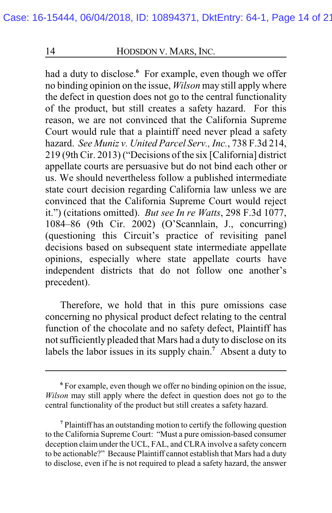had a duty to disclose.<sup>6</sup> For example, even though we offer no binding opinion on the issue, *Wilson* may still apply where the defect in question does not go to the central functionality of the product, but still creates a safety hazard. For this reason, we are not convinced that the California Supreme Court would rule that a plaintiff need never plead a safety hazard. *See Muniz v. United Parcel Serv., Inc.*, 738 F.3d 214, 219 (9th Cir. 2013) ("Decisions of the six [California] district appellate courts are persuasive but do not bind each other or us. We should nevertheless follow a published intermediate state court decision regarding California law unless we are convinced that the California Supreme Court would reject it.") (citations omitted). *But see In re Watts*, 298 F.3d 1077, 1084–86 (9th Cir. 2002) (O'Scannlain, J., concurring) (questioning this Circuit's practice of revisiting panel decisions based on subsequent state intermediate appellate opinions, especially where state appellate courts have independent districts that do not follow one another's precedent).

Therefore, we hold that in this pure omissions case concerning no physical product defect relating to the central function of the chocolate and no safety defect, Plaintiff has not sufficiently pleaded that Mars had a duty to disclose on its labels the labor issues in its supply chain.**<sup>7</sup>** Absent a duty to

**<sup>6</sup>** For example, even though we offer no binding opinion on the issue, *Wilson* may still apply where the defect in question does not go to the central functionality of the product but still creates a safety hazard.

**<sup>7</sup>** Plaintiff has an outstanding motion to certify the following question to the California Supreme Court: "Must a pure omission-based consumer deception claimunder the UCL, FAL, and CLRA involve a safety concern to be actionable?" Because Plaintiff cannot establish that Mars had a duty to disclose, even if he is not required to plead a safety hazard, the answer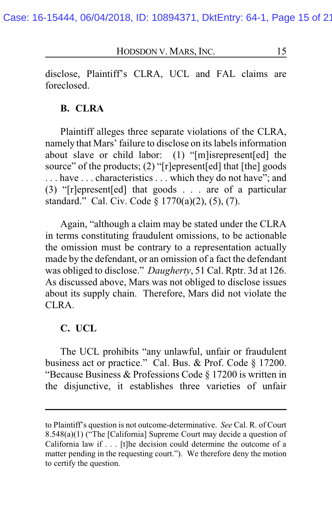disclose, Plaintiff's CLRA, UCL and FAL claims are foreclosed.

#### **B. CLRA**

Plaintiff alleges three separate violations of the CLRA, namely that Mars' failure to disclose on its labels information about slave or child labor: (1) "[m]isrepresent[ed] the source" of the products; (2) "[r]epresent[ed] that [the] goods ... have ... characteristics ... which they do not have"; and (3) "[r]epresent[ed] that goods . . . are of a particular standard." Cal. Civ. Code § 1770(a)(2), (5), (7).

Again, "although a claim may be stated under the CLRA in terms constituting fraudulent omissions, to be actionable the omission must be contrary to a representation actually made by the defendant, or an omission of a fact the defendant was obliged to disclose." *Daugherty*, 51 Cal. Rptr. 3d at 126. As discussed above, Mars was not obliged to disclose issues about its supply chain. Therefore, Mars did not violate the CLRA.

#### **C. UCL**

The UCL prohibits "any unlawful, unfair or fraudulent business act or practice." Cal. Bus. & Prof. Code § 17200. "Because Business & Professions Code § 17200 is written in the disjunctive, it establishes three varieties of unfair

to Plaintiff's question is not outcome-determinative. *See* Cal. R. of Court 8.548(a)(1) ("The [California] Supreme Court may decide a question of California law if . . . [t]he decision could determine the outcome of a matter pending in the requesting court."). We therefore deny the motion to certify the question.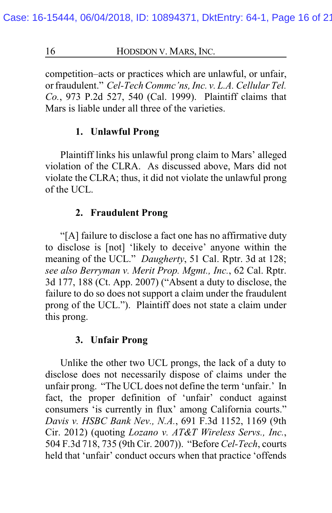competition–acts or practices which are unlawful, or unfair, or fraudulent." *Cel-Tech Commc'ns, Inc. v. L.A. Cellular Tel. Co.*, 973 P.2d 527, 540 (Cal. 1999). Plaintiff claims that Mars is liable under all three of the varieties.

#### **1. Unlawful Prong**

Plaintiff links his unlawful prong claim to Mars' alleged violation of the CLRA. As discussed above, Mars did not violate the CLRA; thus, it did not violate the unlawful prong of the UCL.

#### **2. Fraudulent Prong**

"[A] failure to disclose a fact one has no affirmative duty to disclose is [not] 'likely to deceive' anyone within the meaning of the UCL." *Daugherty*, 51 Cal. Rptr. 3d at 128; *see also Berryman v. Merit Prop. Mgmt., Inc.*, 62 Cal. Rptr. 3d 177, 188 (Ct. App. 2007) ("Absent a duty to disclose, the failure to do so does not support a claim under the fraudulent prong of the UCL."). Plaintiff does not state a claim under this prong.

#### **3. Unfair Prong**

Unlike the other two UCL prongs, the lack of a duty to disclose does not necessarily dispose of claims under the unfair prong. "The UCL does not define the term 'unfair.' In fact, the proper definition of 'unfair' conduct against consumers 'is currently in flux' among California courts." *Davis v. HSBC Bank Nev., N.A.*, 691 F.3d 1152, 1169 (9th Cir. 2012) (quoting *Lozano v. AT&T Wireless Servs., Inc.*, 504 F.3d 718, 735 (9th Cir. 2007)). "Before *Cel-Tech*, courts held that 'unfair' conduct occurs when that practice 'offends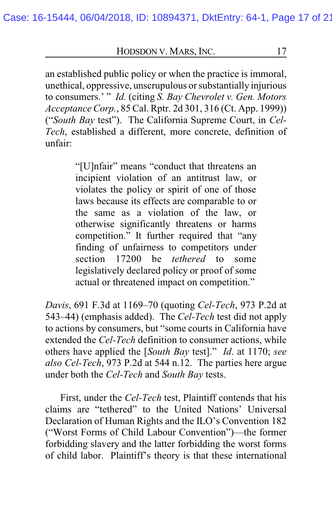an established public policy or when the practice is immoral, unethical, oppressive, unscrupulous or substantially injurious to consumers.' " *Id.* (citing *S. Bay Chevrolet v. Gen. Motors Acceptance Corp.*, 85 Cal. Rptr. 2d 301, 316 (Ct. App. 1999)) ("*South Bay* test"). The California Supreme Court, in *Cel-Tech*, established a different, more concrete, definition of unfair:

> "[U]nfair" means "conduct that threatens an incipient violation of an antitrust law, or violates the policy or spirit of one of those laws because its effects are comparable to or the same as a violation of the law, or otherwise significantly threatens or harms competition." It further required that "any finding of unfairness to competitors under<br>section 17200 be *tethered* to some section 17200 be *tethered* to some legislatively declared policy or proof of some actual or threatened impact on competition."

*Davis*, 691 F.3d at 1169–70 (quoting *Cel-Tech*, 973 P.2d at 543–44) (emphasis added). The *Cel-Tech* test did not apply to actions by consumers, but "some courts in California have extended the *Cel-Tech* definition to consumer actions, while others have applied the [*South Bay* test]." *Id*. at 1170; *see also Cel-Tech*, 973 P.2d at 544 n.12. The parties here argue under both the *Cel-Tech* and *South Bay* tests.

First, under the *Cel-Tech* test, Plaintiff contends that his claims are "tethered" to the United Nations' Universal Declaration of Human Rights and the ILO's Convention 182 ("Worst Forms of Child Labour Convention")—the former forbidding slavery and the latter forbidding the worst forms of child labor. Plaintiff's theory is that these international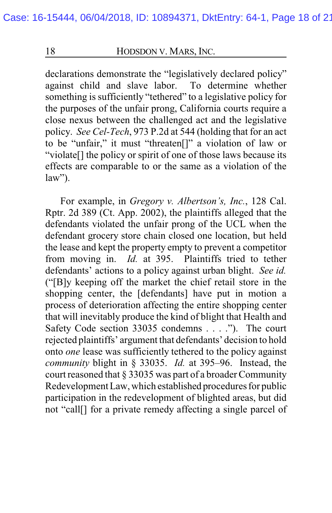declarations demonstrate the "legislatively declared policy" against child and slave labor. To determine whether against child and slave labor. something is sufficiently "tethered" to a legislative policy for the purposes of the unfair prong, California courts require a close nexus between the challenged act and the legislative policy. *See Cel-Tech*, 973 P.2d at 544 (holding that for an act to be "unfair," it must "threaten[]" a violation of law or "violate[] the policy or spirit of one of those laws because its effects are comparable to or the same as a violation of the  $law$ ").

For example, in *Gregory v. Albertson's, Inc.*, 128 Cal. Rptr. 2d 389 (Ct. App. 2002), the plaintiffs alleged that the defendants violated the unfair prong of the UCL when the defendant grocery store chain closed one location, but held the lease and kept the property empty to prevent a competitor from moving in. *Id.* at 395. Plaintiffs tried to tether defendants' actions to a policy against urban blight. *See id.* ("[B]y keeping off the market the chief retail store in the shopping center, the [defendants] have put in motion a process of deterioration affecting the entire shopping center that will inevitably produce the kind of blight that Health and Safety Code section 33035 condemns . . . ."). The court rejected plaintiffs' argument that defendants' decision to hold onto *one* lease was sufficiently tethered to the policy against *community* blight in § 33035. *Id.* at 395–96. Instead, the court reasoned that § 33035 was part of a broader Community Redevelopment Law, which established procedures for public participation in the redevelopment of blighted areas, but did not "call[] for a private remedy affecting a single parcel of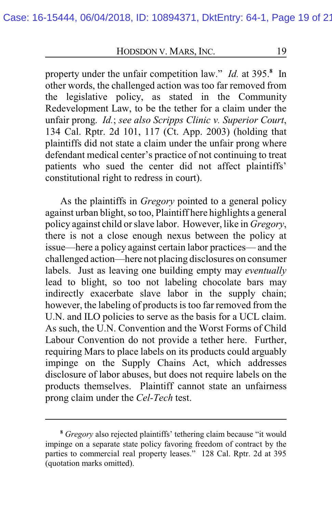property under the unfair competition law." *Id.* at 395.**<sup>8</sup>** In other words, the challenged action was too far removed from the legislative policy, as stated in the Community Redevelopment Law, to be the tether for a claim under the unfair prong. *Id.*; *see also Scripps Clinic v. Superior Court*, 134 Cal. Rptr. 2d 101, 117 (Ct. App. 2003) (holding that plaintiffs did not state a claim under the unfair prong where defendant medical center's practice of not continuing to treat patients who sued the center did not affect plaintiffs' constitutional right to redress in court).

As the plaintiffs in *Gregory* pointed to a general policy against urban blight, so too, Plaintiff here highlights a general policy against child or slave labor. However, like in *Gregory*, there is not a close enough nexus between the policy at issue—here a policy against certain labor practices— and the challenged action—here not placing disclosures on consumer labels. Just as leaving one building empty may *eventually* lead to blight, so too not labeling chocolate bars may indirectly exacerbate slave labor in the supply chain; however, the labeling of products is too far removed from the U.N. and ILO policies to serve as the basis for a UCL claim. As such, the U.N. Convention and the Worst Forms of Child Labour Convention do not provide a tether here. Further, requiring Mars to place labels on its products could arguably impinge on the Supply Chains Act, which addresses disclosure of labor abuses, but does not require labels on the products themselves. Plaintiff cannot state an unfairness prong claim under the *Cel-Tech* test.

**<sup>8</sup>** *Gregory* also rejected plaintiffs' tethering claim because "it would impinge on a separate state policy favoring freedom of contract by the parties to commercial real property leases." 128 Cal. Rptr. 2d at 395 (quotation marks omitted).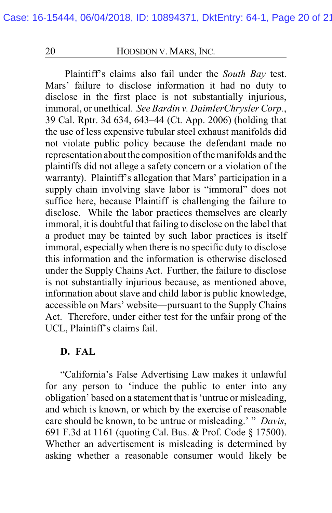Plaintiff's claims also fail under the *South Bay* test. Mars' failure to disclose information it had no duty to disclose in the first place is not substantially injurious, immoral, or unethical. *See Bardin v. DaimlerChrysler Corp.*, 39 Cal. Rptr. 3d 634, 643–44 (Ct. App. 2006) (holding that the use of less expensive tubular steel exhaust manifolds did not violate public policy because the defendant made no representation about the composition of the manifolds and the plaintiffs did not allege a safety concern or a violation of the warranty). Plaintiff's allegation that Mars' participation in a supply chain involving slave labor is "immoral" does not suffice here, because Plaintiff is challenging the failure to disclose. While the labor practices themselves are clearly immoral, it is doubtful that failing to disclose on the label that a product may be tainted by such labor practices is itself immoral, especially when there is no specific duty to disclose this information and the information is otherwise disclosed under the Supply Chains Act. Further, the failure to disclose is not substantially injurious because, as mentioned above, information about slave and child labor is public knowledge, accessible on Mars' website—pursuant to the Supply Chains Act. Therefore, under either test for the unfair prong of the UCL, Plaintiff's claims fail.

### **D. FAL**

"California's False Advertising Law makes it unlawful for any person to 'induce the public to enter into any obligation' based on a statement that is 'untrue or misleading, and which is known, or which by the exercise of reasonable care should be known, to be untrue or misleading.' " *Davis*, 691 F.3d at 1161 (quoting Cal. Bus. & Prof. Code § 17500). Whether an advertisement is misleading is determined by asking whether a reasonable consumer would likely be